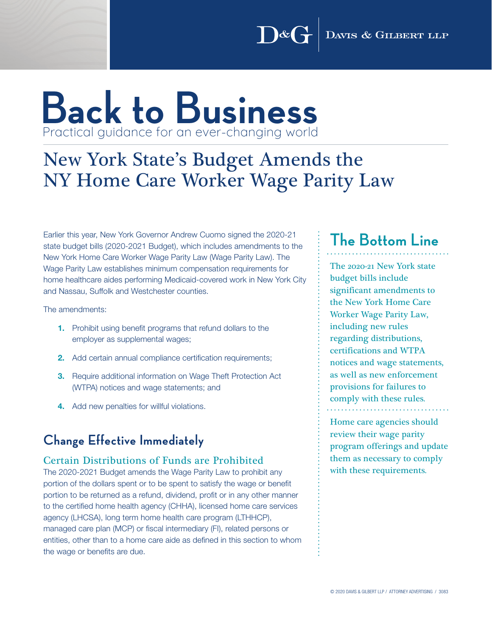## **Back to Business** Practical guidance for an ever-changing world

## New York State's Budget Amends the NY Home Care Worker Wage Parity Law

Earlier this year, New York Governor Andrew Cuomo signed the 2020-21 state budget bills (2020-2021 Budget), which includes amendments to the New York Home Care Worker Wage Parity Law (Wage Parity Law). The Wage Parity Law establishes minimum compensation requirements for home healthcare aides performing Medicaid-covered work in New York City and Nassau, Suffolk and Westchester counties.

The amendments:

- 1. Prohibit using benefit programs that refund dollars to the employer as supplemental wages;
- 2. Add certain annual compliance certification requirements;
- **3.** Require additional information on Wage Theft Protection Act (WTPA) notices and wage statements; and
- 4. Add new penalties for willful violations.

### **Change Effective Immediately**

#### Certain Distributions of Funds are Prohibited

The 2020-2021 Budget amends the Wage Parity Law to prohibit any portion of the dollars spent or to be spent to satisfy the wage or benefit portion to be returned as a refund, dividend, profit or in any other manner to the certified home health agency (CHHA), licensed home care services agency (LHCSA), long term home health care program (LTHHCP), managed care plan (MCP) or fiscal intermediary (FI), related persons or entities, other than to a home care aide as defined in this section to whom the wage or benefits are due.

## **The Bottom Line**

The 2020-21 New York state budget bills include significant amendments to the New York Home Care Worker Wage Parity Law, including new rules regarding distributions, certifications and WTPA notices and wage statements, as well as new enforcement provisions for failures to comply with these rules.

Home care agencies should review their wage parity program offerings and update them as necessary to comply with these requirements.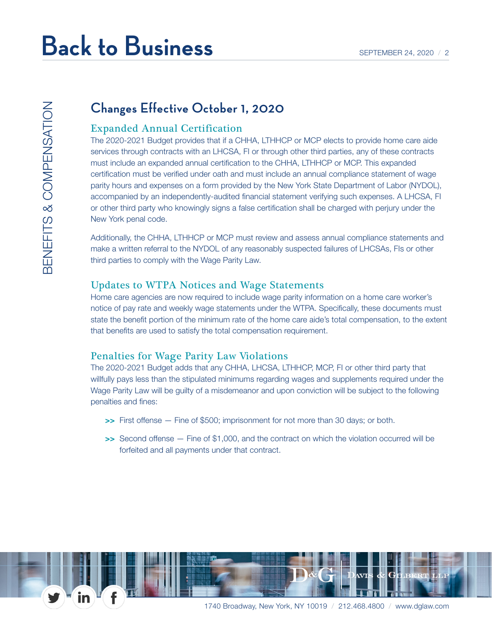# **Back to Business**

### **Changes Effective October 1, 2020**

#### Expanded Annual Certification

The 2020-2021 Budget provides that if a CHHA, LTHHCP or MCP elects to provide home care aide services through contracts with an LHCSA, FI or through other third parties, any of these contracts must include an expanded annual certification to the CHHA, LTHHCP or MCP. This expanded certification must be verified under oath and must include an annual compliance statement of wage parity hours and expenses on a form provided by the New York State Department of Labor (NYDOL), accompanied by an independently-audited financial statement verifying such expenses. A LHCSA, FI or other third party who knowingly signs a false certification shall be charged with perjury under the New York penal code.

Additionally, the CHHA, LTHHCP or MCP must review and assess annual compliance statements and make a written referral to the NYDOL of any reasonably suspected failures of LHCSAs, FIs or other third parties to comply with the Wage Parity Law.

#### Updates to WTPA Notices and Wage Statements

Home care agencies are now required to include wage parity information on a home care worker's notice of pay rate and weekly wage statements under the WTPA. Specifically, these documents must state the benefit portion of the minimum rate of the home care aide's total compensation, to the extent that benefits are used to satisfy the total compensation requirement.

#### Penalties for Wage Parity Law Violations

The 2020-2021 Budget adds that any CHHA, LHCSA, LTHHCP, MCP, FI or other third party that willfully pays less than the stipulated minimums regarding wages and supplements required under the Wage Parity Law will be guilty of a misdemeanor and upon conviction will be subject to the following penalties and fines:

- >> First offense Fine of \$500; imprisonment for not more than 30 days; or both.
- >> Second offense Fine of \$1,000, and the contract on which the violation occurred will be forfeited and all payments under that contract.